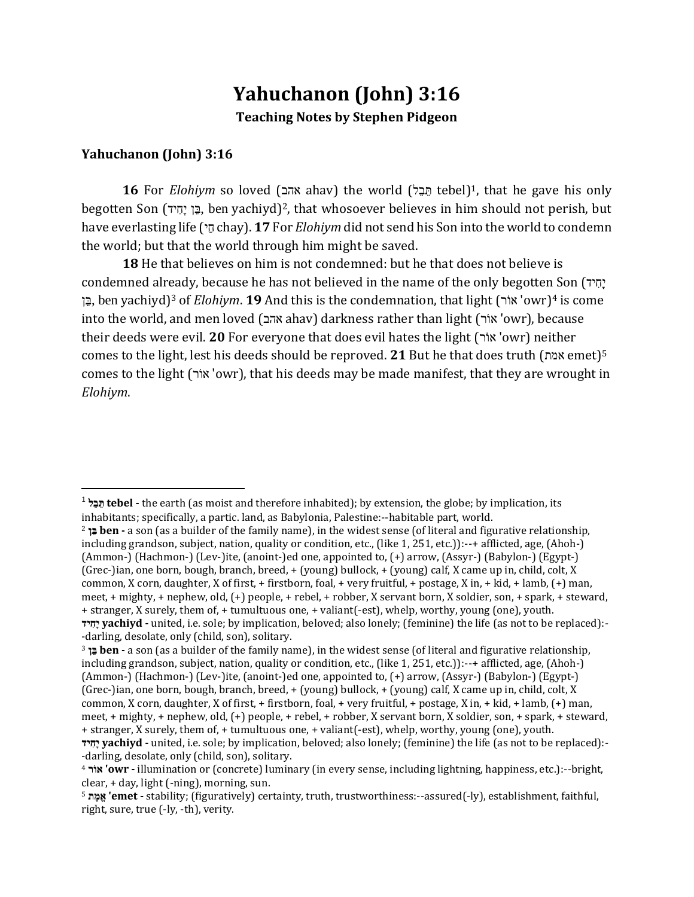# **Yahuchanon (John) 3:16 Teaching Notes by Stephen Pidgeon**

#### **Yahuchanon (John) 3:16**

l

16 For *Elohiym* so loved (אהב ahav) the world (הַבֵּל tebel)<sup>1</sup>, that he gave his only begotten Son (בֵּן יָחִיד, ben yachiyd)<sup>2</sup>, that whosoever believes in him should not perish, but have everlasting life ( $\tau$ ַ chay). **17** For *Elohiym* did not send his Son into the world to condemn the world; but that the world through him might be saved.

**18** He that believes on him is not condemned: but he that does not believe is condemned already, because he has not believed in the name of the only begotten Son (יחיד **בֵּן**, ben yachiyd)<sup>3</sup> of *Elohiym*. **19** And this is the condemnation, that light (אוֹר 'owr)<sup>4</sup> is come into the world, and men loved (אהב ahav) darkness rather than light (א וֺר' owr), because their deeds were evil. **20** For everyone that does evil hates the light (אוֹר 'owr) neither comes to the light, lest his deeds should be reproved. **21** But he that does truth (אמת emet)<sup>5</sup> comes to the light (אוֹר), that his deeds may be made manifest, that they are wrought in *Elohiym*.

<sup>1</sup> **ת ֵּב ֵּל tebel -** the earth (as moist and therefore inhabited); by extension, the globe; by implication, its inhabitants; specifically, a partic. land, as Babylonia, Palestine:--habitable part, world.

<sup>2</sup> **ב ֵּן ben -** a son (as a builder of the family name), in the widest sense (of literal and figurative relationship, including grandson, subject, nation, quality or condition, etc., (like 1, 251, etc.)):--+ afflicted, age, (Ahoh-) (Ammon-) (Hachmon-) (Lev-)ite, (anoint-)ed one, appointed to, (+) arrow, (Assyr-) (Babylon-) (Egypt-) (Grec-)ian, one born, bough, branch, breed, + (young) bullock, + (young) calf, X came up in, child, colt, X common, X corn, daughter, X of first, + firstborn, foal, + very fruitful, + postage, X in, + kid, + lamb, (+) man, meet, + mighty, + nephew, old, (+) people, + rebel, + robber, X servant born, X soldier, son, + spark, + steward, + stranger, X surely, them of, + tumultuous one, + valiant(-est), whelp, worthy, young (one), youth. **יָ חִיָ yachiyd -** united, i.e. sole; by implication, beloved; also lonely; (feminine) the life (as not to be replaced):- -darling, desolate, only (child, son), solitary.

<sup>3</sup> **ב ֵּן ben -** a son (as a builder of the family name), in the widest sense (of literal and figurative relationship, including grandson, subject, nation, quality or condition, etc., (like 1, 251, etc.)):--+ afflicted, age, (Ahoh-) (Ammon-) (Hachmon-) (Lev-)ite, (anoint-)ed one, appointed to, (+) arrow, (Assyr-) (Babylon-) (Egypt-) (Grec-)ian, one born, bough, branch, breed, + (young) bullock, + (young) calf, X came up in, child, colt, X common, X corn, daughter, X of first, + firstborn, foal, + very fruitful, + postage, X in, + kid, + lamb, (+) man, meet, + mighty, + nephew, old, (+) people, + rebel, + robber, X servant born, X soldier, son, + spark, + steward, + stranger, X surely, them of, + tumultuous one, + valiant(-est), whelp, worthy, young (one), youth.

**יָ חִיָ yachiyd -** united, i.e. sole; by implication, beloved; also lonely; (feminine) the life (as not to be replaced):- -darling, desolate, only (child, son), solitary.

<sup>4</sup> **א וֺר' owr -** illumination or (concrete) luminary (in every sense, including lightning, happiness, etc.):--bright, clear, + day, light (-ning), morning, sun.

<sup>5</sup> **א ֱמ ֶר' emet -** stability; (figuratively) certainty, truth, trustworthiness:--assured(-ly), establishment, faithful, right, sure, true (-ly, -th), verity.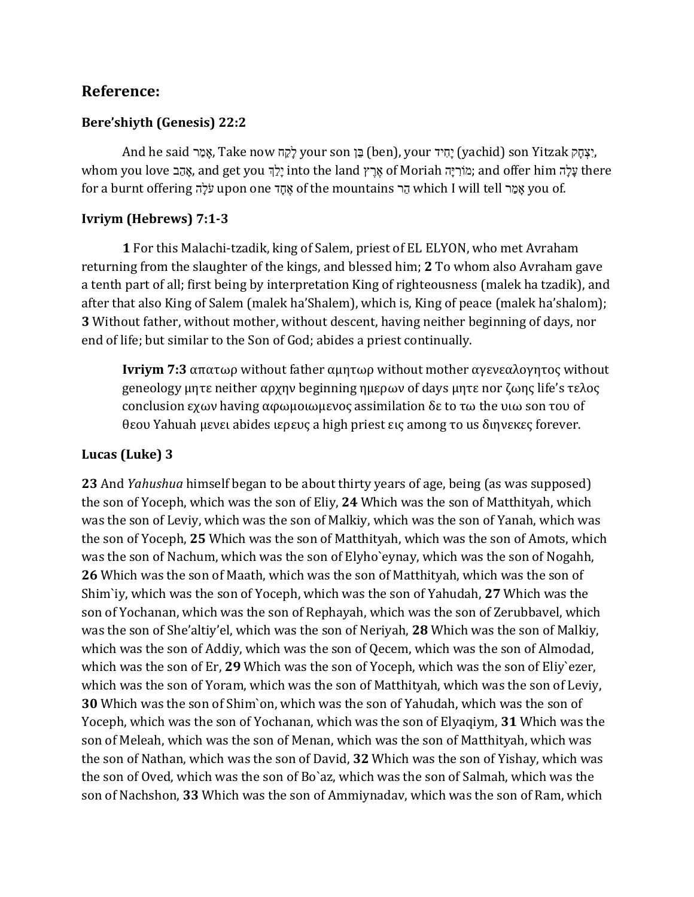## **Reference:**

#### **Bere'shiyth (Genesis) 22:2**

ָאָמַר (yachid) son Yitzak אָמַר, Take now לָקַח your son בֵּן (ben), your יָחִיד (yachid) son Yitzak , whom you love בַּהָּ, and get you יָלֵךְ into the land אֲרֵץ of Moriah הִמּוֹרְיָה ;and offer him תִּ for a burnt offering תיה הו upon one י יִ ֶר of the mountains א ַה which I will tell א ַמ רי you of.

#### **Ivriym (Hebrews) 7:1-3**

**1** For this Malachi-tzadik, king of Salem, priest of EL ELYON, who met Avraham returning from the slaughter of the kings, and blessed him; **2** To whom also Avraham gave a tenth part of all; first being by interpretation King of righteousness (malek ha tzadik), and after that also King of Salem (malek ha'Shalem), which is, King of peace (malek ha'shalom); **3** Without father, without mother, without descent, having neither beginning of days, nor end of life; but similar to the Son of God; abides a priest continually.

**Ivriym 7:3** απατωρ without father αμητωρ without mother αγενεαλογητος without geneology μητε neither αρχην beginning ημερων of days μητε nor ζωης life's τελος conclusion εχων having αφωμοιωμενος assimilation δε to τω the υιω son του of θεου Yahuah μενει abides ιερευς a high priest εις among το us διηνεκες forever.

### **Lucas (Luke) 3**

**23** And *Yahushua* himself began to be about thirty years of age, being (as was supposed) the son of Yoceph, which was the son of Eliy, **24** Which was the son of Matthityah, which was the son of Leviy, which was the son of Malkiy, which was the son of Yanah, which was the son of Yoceph, **25** Which was the son of Matthityah, which was the son of Amots, which was the son of Nachum, which was the son of Elyho`eynay, which was the son of Nogahh, **26** Which was the son of Maath, which was the son of Matthityah, which was the son of Shim`iy, which was the son of Yoceph, which was the son of Yahudah, **27** Which was the son of Yochanan, which was the son of Rephayah, which was the son of Zerubbavel, which was the son of She'altiy'el, which was the son of Neriyah, **28** Which was the son of Malkiy, which was the son of Addiy, which was the son of Qecem, which was the son of Almodad, which was the son of Er, **29** Which was the son of Yoceph, which was the son of Eliy`ezer, which was the son of Yoram, which was the son of Matthityah, which was the son of Leviy, **30** Which was the son of Shim`on, which was the son of Yahudah, which was the son of Yoceph, which was the son of Yochanan, which was the son of Elyaqiym, **31** Which was the son of Meleah, which was the son of Menan, which was the son of Matthityah, which was the son of Nathan, which was the son of David, **32** Which was the son of Yishay, which was the son of Oved, which was the son of Bo`az, which was the son of Salmah, which was the son of Nachshon, **33** Which was the son of Ammiynadav, which was the son of Ram, which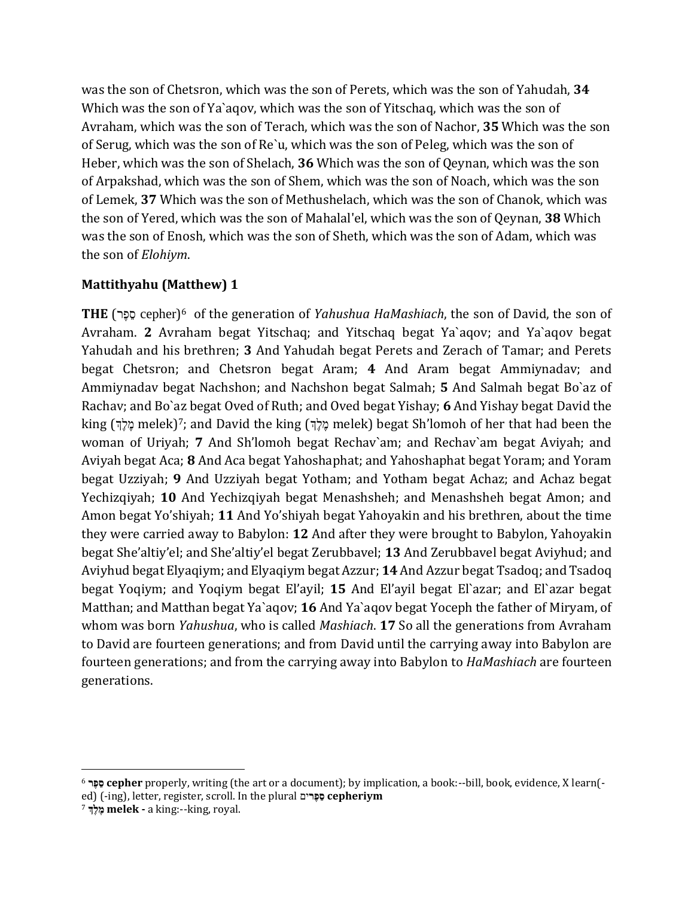was the son of Chetsron, which was the son of Perets, which was the son of Yahudah, **34** Which was the son of Ya`aqov, which was the son of Yitschaq, which was the son of Avraham, which was the son of Terach, which was the son of Nachor, **35** Which was the son of Serug, which was the son of Re`u, which was the son of Peleg, which was the son of Heber, which was the son of Shelach, **36** Which was the son of Qeynan, which was the son of Arpakshad, which was the son of Shem, which was the son of Noach, which was the son of Lemek, **37** Which was the son of Methushelach, which was the son of Chanok, which was the son of Yered, which was the son of Mahalal'el, which was the son of Qeynan, **38** Which was the son of Enosh, which was the son of Sheth, which was the son of Adam, which was the son of *Elohiym*.

## **Mattithyahu (Matthew) 1**

(cepher רֵּ פֶ א) **THE** <sup>6</sup> of the generation of *Yahushua HaMashiach*, the son of David, the son of Avraham. **2** Avraham begat Yitschaq; and Yitschaq begat Ya`aqov; and Ya`aqov begat Yahudah and his brethren; **3** And Yahudah begat Perets and Zerach of Tamar; and Perets begat Chetsron; and Chetsron begat Aram; **4** And Aram begat Ammiynadav; and Ammiynadav begat Nachshon; and Nachshon begat Salmah; **5** And Salmah begat Bo`az of Rachav; and Bo`az begat Oved of Ruth; and Oved begat Yishay; **6** And Yishay begat David the king (מֶלֶךְ melek)<sup>7</sup>; and David the king (מֶלֶךְ melek) begat Sh'lomoh of her that had been the woman of Uriyah; **7** And Sh'lomoh begat Rechav`am; and Rechav`am begat Aviyah; and Aviyah begat Aca; **8** And Aca begat Yahoshaphat; and Yahoshaphat begat Yoram; and Yoram begat Uzziyah; **9** And Uzziyah begat Yotham; and Yotham begat Achaz; and Achaz begat Yechizqiyah; **10** And Yechizqiyah begat Menashsheh; and Menashsheh begat Amon; and Amon begat Yo'shiyah; **11** And Yo'shiyah begat Yahoyakin and his brethren, about the time they were carried away to Babylon: **12** And after they were brought to Babylon, Yahoyakin begat She'altiy'el; and She'altiy'el begat Zerubbavel; **13** And Zerubbavel begat Aviyhud; and Aviyhud begat Elyaqiym; and Elyaqiym begat Azzur; **14** And Azzur begat Tsadoq; and Tsadoq begat Yoqiym; and Yoqiym begat El'ayil; **15** And El'ayil begat El`azar; and El`azar begat Matthan; and Matthan begat Ya`aqov; **16** And Ya`aqov begat Yoceph the father of Miryam, of whom was born *Yahushua*, who is called *Mashiach*. **17** So all the generations from Avraham to David are fourteen generations; and from David until the carrying away into Babylon are fourteen generations; and from the carrying away into Babylon to *HaMashiach* are fourteen generations.

 $\overline{\phantom{a}}$ <sup>6</sup> **א ֱפ ֵּר cepher** properly, writing (the art or a document); by implication, a book:--bill, book, evidence, X learn( ed) (-ing), letter, register, scroll. In the plural **א**ים **ֱפ ֵּר cepheriym**

<sup>7</sup> **מֱת ֱמ melek -** a king:--king, royal.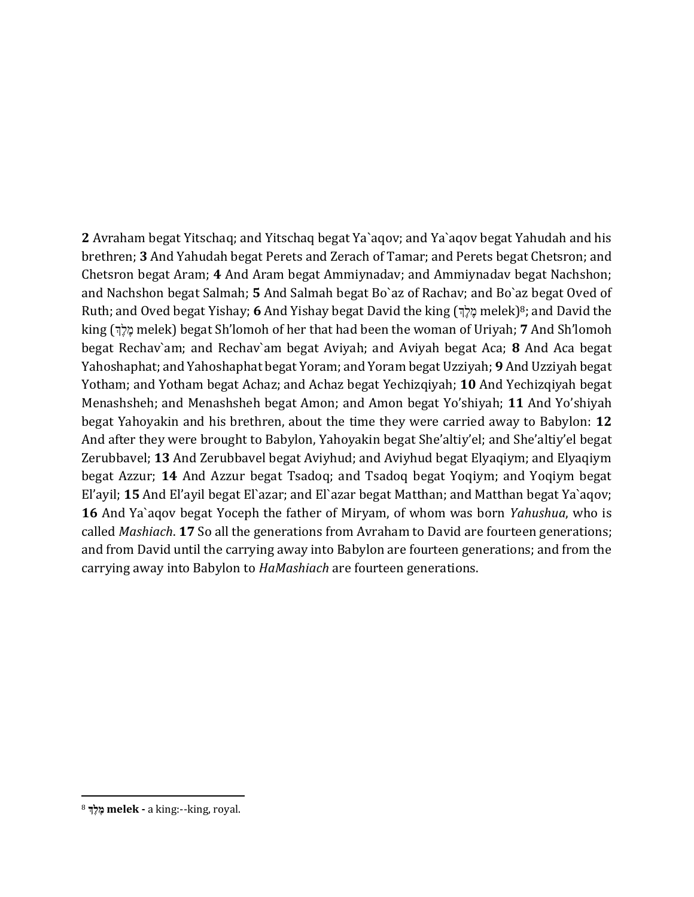**2** Avraham begat Yitschaq; and Yitschaq begat Ya`aqov; and Ya`aqov begat Yahudah and his brethren; **3** And Yahudah begat Perets and Zerach of Tamar; and Perets begat Chetsron; and Chetsron begat Aram; **4** And Aram begat Ammiynadav; and Ammiynadav begat Nachshon; and Nachshon begat Salmah; **5** And Salmah begat Bo`az of Rachav; and Bo`az begat Oved of Ruth; and Oved begat Yishay; **6** And Yishay begat David the king (לֶךֶ melek)<sup>8</sup>; and David the king (יֶתֶּלְךָ melek) begat Sh'lomoh of her that had been the woman of Uriyah; **7** And Sh'lomoh begat Rechav`am; and Rechav`am begat Aviyah; and Aviyah begat Aca; **8** And Aca begat Yahoshaphat; and Yahoshaphat begat Yoram; and Yoram begat Uzziyah; **9** And Uzziyah begat Yotham; and Yotham begat Achaz; and Achaz begat Yechizqiyah; **10** And Yechizqiyah begat Menashsheh; and Menashsheh begat Amon; and Amon begat Yo'shiyah; **11** And Yo'shiyah begat Yahoyakin and his brethren, about the time they were carried away to Babylon: **12** And after they were brought to Babylon, Yahoyakin begat She'altiy'el; and She'altiy'el begat Zerubbavel; **13** And Zerubbavel begat Aviyhud; and Aviyhud begat Elyaqiym; and Elyaqiym begat Azzur; **14** And Azzur begat Tsadoq; and Tsadoq begat Yoqiym; and Yoqiym begat El'ayil; **15** And El'ayil begat El`azar; and El`azar begat Matthan; and Matthan begat Ya`aqov; **16** And Ya`aqov begat Yoceph the father of Miryam, of whom was born *Yahushua*, who is called *Mashiach*. **17** So all the generations from Avraham to David are fourteen generations; and from David until the carrying away into Babylon are fourteen generations; and from the carrying away into Babylon to *HaMashiach* are fourteen generations.

 $\overline{\phantom{a}}$ 

<sup>8</sup> **מֱת ֱמ melek -** a king:--king, royal.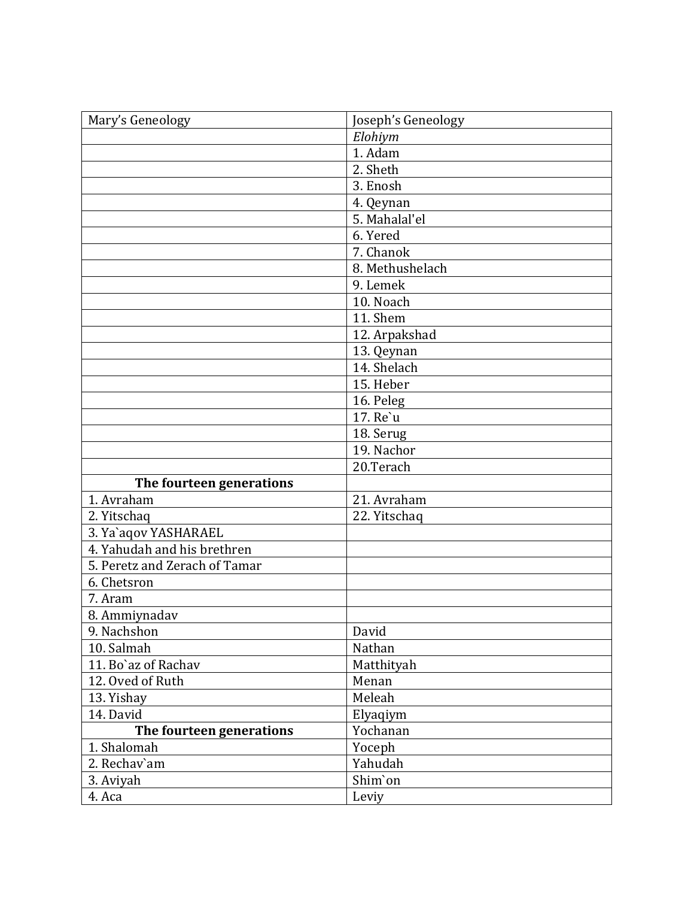| Mary's Geneology              | Joseph's Geneology |
|-------------------------------|--------------------|
|                               | Elohiym            |
|                               | 1. Adam            |
|                               | 2. Sheth           |
|                               | 3. Enosh           |
|                               | 4. Qeynan          |
|                               | 5. Mahalal'el      |
|                               | 6. Yered           |
|                               | 7. Chanok          |
|                               | 8. Methushelach    |
|                               | 9. Lemek           |
|                               | 10. Noach          |
|                               | 11. Shem           |
|                               | 12. Arpakshad      |
|                               | 13. Qeynan         |
|                               | 14. Shelach        |
|                               | 15. Heber          |
|                               | 16. Peleg          |
|                               | 17. Re'u           |
|                               | 18. Serug          |
|                               | 19. Nachor         |
|                               | 20.Terach          |
| The fourteen generations      |                    |
| 1. Avraham                    | 21. Avraham        |
| 2. Yitschaq                   | 22. Yitschaq       |
| 3. Ya`aqov YASHARAEL          |                    |
| 4. Yahudah and his brethren   |                    |
| 5. Peretz and Zerach of Tamar |                    |
| 6. Chetsron                   |                    |
| 7. Aram                       |                    |
| 8. Ammiynadav                 |                    |
| 9. Nachshon                   | David              |
| 10. Salmah                    | Nathan             |
| 11. Bo'az of Rachav           | Matthityah         |
| 12. Oved of Ruth              | Menan              |
| 13. Yishay                    | Meleah             |
| 14. David                     | Elyaqiym           |
| The fourteen generations      | Yochanan           |
| 1. Shalomah                   | Yoceph             |
| 2. Rechav'am                  | Yahudah            |
| 3. Aviyah                     | Shim'on            |
| 4. Aca                        | Leviy              |